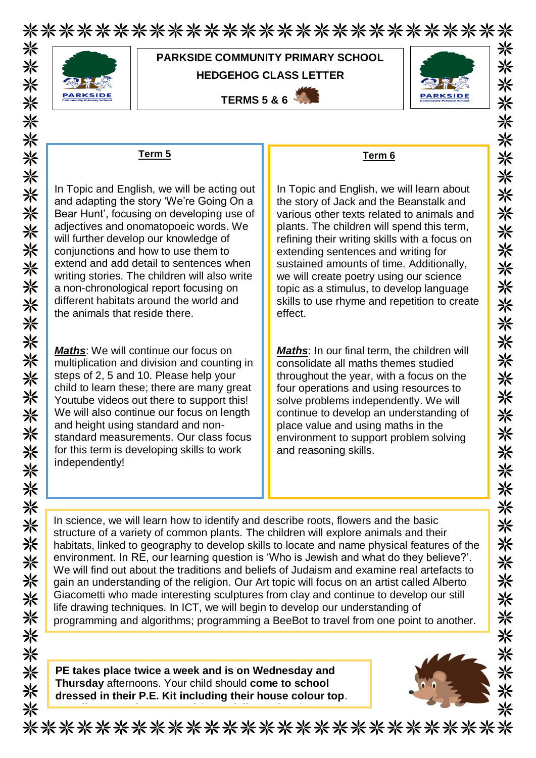\*\*\*\*\*\*\*\*\*\*\*\*\*\*\*\*\*\*\*\*\*\*\*\*\*\*\* 米



## **PARKSIDE COMMUNITY PRIMARY SCHOOL HEDGEHOG CLASS LETTER**

**TERMS 5 & 6** 



米

米

米

米

米

☀ 氺

米

米

米

米 氺

兴

米

米

兴 米 米

米

米

米

兴

米米米米

※

米

米

米

米

氺

☀

☀

⋇

米

## **Term 5**

In Topic and English, we will be acting out and adapting the story 'We're Going On a Bear Hunt', focusing on developing use of adjectives and onomatopoeic words. We will further develop our knowledge of conjunctions and how to use them to extend and add detail to sentences when writing stories. The children will also write a non-chronological report focusing on different habitats around the world and the animals that reside there.

*Maths*: We will continue our focus on multiplication and division and counting in steps of 2, 5 and 10. Please help your child to learn these; there are many great Youtube videos out there to support this! We will also continue our focus on length and height using standard and nonstandard measurements. Our class focus for this term is developing skills to work independently!

## **Term 6**

In Topic and English, we will learn about the story of Jack and the Beanstalk and various other texts related to animals and plants. The children will spend this term, refining their writing skills with a focus on extending sentences and writing for sustained amounts of time. Additionally, we will create poetry using our science topic as a stimulus, to develop language skills to use rhyme and repetition to create effect.

*Maths*: In our final term, the children will consolidate all maths themes studied throughout the year, with a focus on the four operations and using resources to solve problems independently. We will continue to develop an understanding of place value and using maths in the environment to support problem solving and reasoning skills.

In science, we will learn how to identify and describe roots, flowers and the basic structure of a variety of common plants. The children will explore animals and their habitats, linked to geography to develop skills to locate and name physical features of the environment. In RE, our learning question is 'Who is Jewish and what do they believe?'. We will find out about the traditions and beliefs of Judaism and examine real artefacts to gain an understanding of the religion. Our Art topic will focus on an artist called Alberto Giacometti who made interesting sculptures from clay and continue to develop our still life drawing techniques. In ICT, we will begin to develop our understanding of programming and algorithms; programming a BeeBot to travel from one point to another.

**PE takes place twice a week and is on Wednesday and Thursday** afternoons. Your child should **come to school dressed in their P.E. Kit including their house colour top**.

**Jewellery must be removed** (**especially earrings**).



\*\*\*\*\*\*\*\*\*\*\*\*\*\*\*\*\*\*\*\*\*\*\*\*\*\*\*